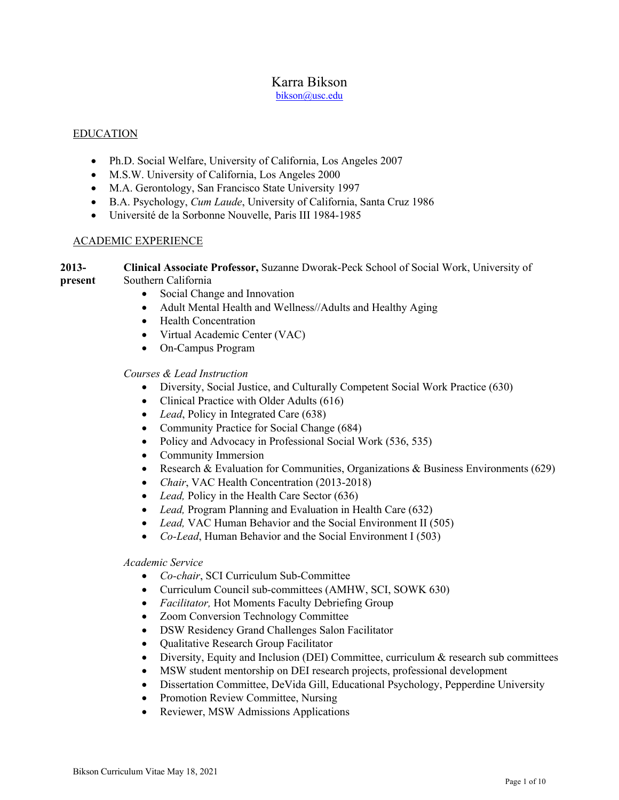# Karra Bikson

bikson@usc.edu

# EDUCATION

- Ph.D. Social Welfare, University of California, Los Angeles 2007
- M.S.W. University of California, Los Angeles 2000
- M.A. Gerontology, San Francisco State University 1997
- B.A. Psychology, *Cum Laude*, University of California, Santa Cruz 1986
- Université de la Sorbonne Nouvelle, Paris III 1984-1985

# ACADEMIC EXPERIENCE

#### **2013 present Clinical Associate Professor,** Suzanne Dworak-Peck School of Social Work, University of Southern California

- Social Change and Innovation
- Adult Mental Health and Wellness//Adults and Healthy Aging
- Health Concentration
- Virtual Academic Center (VAC)
- On-Campus Program

# *Courses & Lead Instruction*

- Diversity, Social Justice, and Culturally Competent Social Work Practice (630)
- Clinical Practice with Older Adults (616)
- *Lead*, Policy in Integrated Care (638)
- Community Practice for Social Change (684)
- Policy and Advocacy in Professional Social Work (536, 535)
- Community Immersion
- Research & Evaluation for Communities, Organizations & Business Environments (629)
- *Chair*, VAC Health Concentration (2013-2018)
- *Lead*, Policy in the Health Care Sector (636)
- *Lead,* Program Planning and Evaluation in Health Care (632)
- *Lead,* VAC Human Behavior and the Social Environment II (505)
- *Co-Lead*, Human Behavior and the Social Environment I (503)

# *Academic Service*

- *Co-chair*, SCI Curriculum Sub-Committee
- Curriculum Council sub-committees (AMHW, SCI, SOWK 630)
- *Facilitator,* Hot Moments Faculty Debriefing Group
- Zoom Conversion Technology Committee
- DSW Residency Grand Challenges Salon Facilitator
- Qualitative Research Group Facilitator
- Diversity, Equity and Inclusion (DEI) Committee, curriculum & research sub committees
- MSW student mentorship on DEI research projects, professional development
- Dissertation Committee, DeVida Gill, Educational Psychology, Pepperdine University
- Promotion Review Committee, Nursing
- Reviewer, MSW Admissions Applications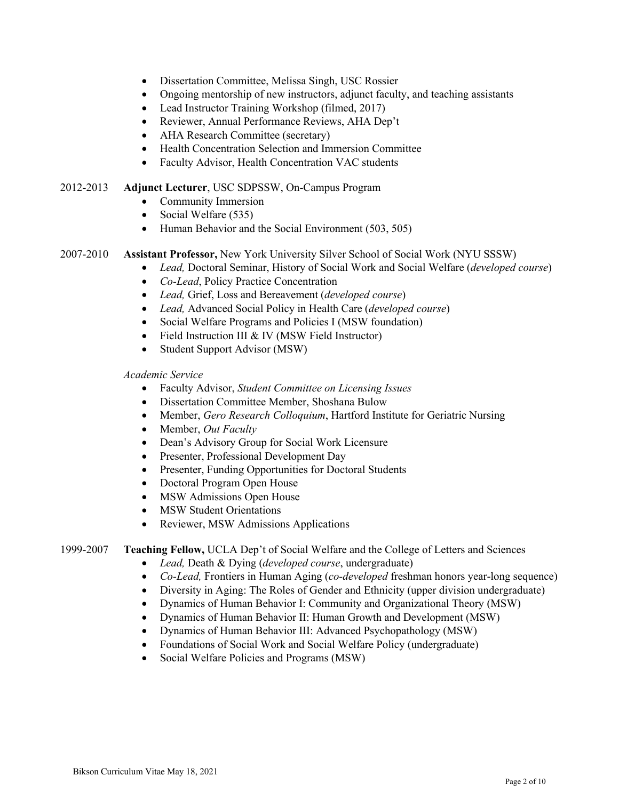- Dissertation Committee, Melissa Singh, USC Rossier
- Ongoing mentorship of new instructors, adjunct faculty, and teaching assistants
- Lead Instructor Training Workshop (filmed, 2017)
- Reviewer, Annual Performance Reviews, AHA Dep't
- AHA Research Committee (secretary)
- Health Concentration Selection and Immersion Committee
- Faculty Advisor, Health Concentration VAC students

2012-2013 **Adjunct Lecturer**, USC SDPSSW, On-Campus Program

- Community Immersion
- Social Welfare (535)
- Human Behavior and the Social Environment (503, 505)

# 2007-2010 **Assistant Professor,** New York University Silver School of Social Work (NYU SSSW)

- *Lead,* Doctoral Seminar, History of Social Work and Social Welfare (*developed course*)
- *Co-Lead*, Policy Practice Concentration
- *Lead,* Grief, Loss and Bereavement (*developed course*)
- *Lead,* Advanced Social Policy in Health Care (*developed course*)
- Social Welfare Programs and Policies I (MSW foundation)
- Field Instruction III & IV (MSW Field Instructor)
- Student Support Advisor (MSW)

*Academic Service*

- Faculty Advisor, *Student Committee on Licensing Issues*
- Dissertation Committee Member, Shoshana Bulow
- Member, *Gero Research Colloquium*, Hartford Institute for Geriatric Nursing
- Member, *Out Faculty*
- Dean's Advisory Group for Social Work Licensure
- Presenter, Professional Development Day
- Presenter, Funding Opportunities for Doctoral Students
- Doctoral Program Open House
- MSW Admissions Open House
- MSW Student Orientations
- Reviewer, MSW Admissions Applications

1999-2007 **Teaching Fellow,** UCLA Dep't of Social Welfare and the College of Letters and Sciences

- *Lead,* Death & Dying (*developed course*, undergraduate)
- *Co-Lead,* Frontiers in Human Aging (*co-developed* freshman honors year-long sequence)
- Diversity in Aging: The Roles of Gender and Ethnicity (upper division undergraduate)
- Dynamics of Human Behavior I: Community and Organizational Theory (MSW)
- Dynamics of Human Behavior II: Human Growth and Development (MSW)
- Dynamics of Human Behavior III: Advanced Psychopathology (MSW)
- Foundations of Social Work and Social Welfare Policy (undergraduate)
- Social Welfare Policies and Programs (MSW)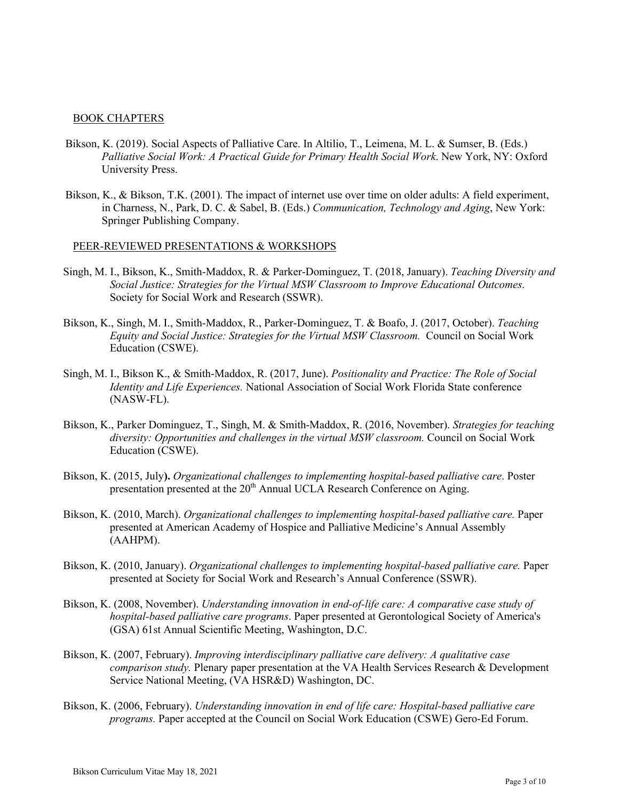### BOOK CHAPTERS

- Bikson, K. (2019). Social Aspects of Palliative Care. In Altilio, T., Leimena, M. L. & Sumser, B. (Eds.) *Palliative Social Work: A Practical Guide for Primary Health Social Work*. New York, NY: Oxford University Press.
- Bikson, K., & Bikson, T.K. (2001). The impact of internet use over time on older adults: A field experiment, in Charness, N., Park, D. C. & Sabel, B. (Eds.) *Communication, Technology and Aging*, New York: Springer Publishing Company.

#### PEER-REVIEWED PRESENTATIONS & WORKSHOPS

- Singh, M. I., Bikson, K., Smith-Maddox, R. & Parker-Dominguez, T. (2018, January). *Teaching Diversity and Social Justice: Strategies for the Virtual MSW Classroom to Improve Educational Outcomes*. Society for Social Work and Research (SSWR).
- Bikson, K., Singh, M. I., Smith-Maddox, R., Parker-Dominguez, T. & Boafo, J. (2017, October). *Teaching Equity and Social Justice: Strategies for the Virtual MSW Classroom.* Council on Social Work Education (CSWE).
- Singh, M. I., Bikson K., & Smith-Maddox, R. (2017, June). *Positionality and Practice: The Role of Social Identity and Life Experiences.* National Association of Social Work Florida State conference (NASW-FL).
- Bikson, K., Parker Dominguez, T., Singh, M. & Smith-Maddox, R. (2016, November). *Strategies for teaching diversity: Opportunities and challenges in the virtual MSW classroom.* Council on Social Work Education (CSWE).
- Bikson, K. (2015, July**).** *Organizational challenges to implementing hospital-based palliative care*. Poster presentation presented at the 20<sup>th</sup> Annual UCLA Research Conference on Aging.
- Bikson, K. (2010, March). *Organizational challenges to implementing hospital-based palliative care.* Paper presented at American Academy of Hospice and Palliative Medicine's Annual Assembly (AAHPM).
- Bikson, K. (2010, January). *Organizational challenges to implementing hospital-based palliative care.* Paper presented at Society for Social Work and Research's Annual Conference (SSWR).
- Bikson, K. (2008, November). *Understanding innovation in end-of-life care: A comparative case study of hospital-based palliative care programs*. Paper presented at Gerontological Society of America's (GSA) 61st Annual Scientific Meeting, Washington, D.C.
- Bikson, K. (2007, February). *Improving interdisciplinary palliative care delivery: A qualitative case comparison study.* Plenary paper presentation at the VA Health Services Research & Development Service National Meeting, (VA HSR&D) Washington, DC.
- Bikson, K. (2006, February). *Understanding innovation in end of life care: Hospital-based palliative care programs.* Paper accepted at the Council on Social Work Education (CSWE) Gero-Ed Forum.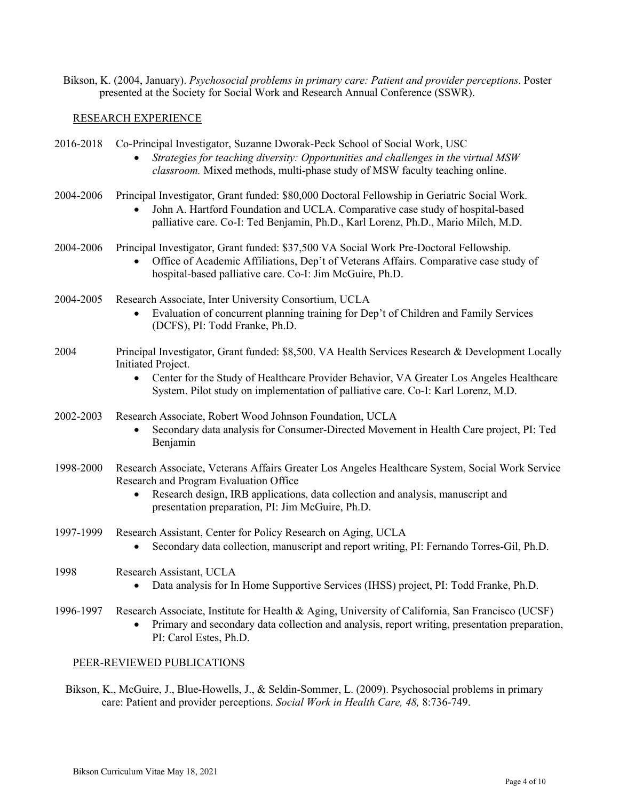Bikson, K. (2004, January). *Psychosocial problems in primary care: Patient and provider perceptions*. Poster presented at the Society for Social Work and Research Annual Conference (SSWR).

# RESEARCH EXPERIENCE

| 2016-2018 | Co-Principal Investigator, Suzanne Dworak-Peck School of Social Work, USC<br>Strategies for teaching diversity: Opportunities and challenges in the virtual MSW<br>classroom. Mixed methods, multi-phase study of MSW faculty teaching online.                                                                      |
|-----------|---------------------------------------------------------------------------------------------------------------------------------------------------------------------------------------------------------------------------------------------------------------------------------------------------------------------|
| 2004-2006 | Principal Investigator, Grant funded: \$80,000 Doctoral Fellowship in Geriatric Social Work.<br>John A. Hartford Foundation and UCLA. Comparative case study of hospital-based<br>$\bullet$<br>palliative care. Co-I: Ted Benjamin, Ph.D., Karl Lorenz, Ph.D., Mario Milch, M.D.                                    |
| 2004-2006 | Principal Investigator, Grant funded: \$37,500 VA Social Work Pre-Doctoral Fellowship.<br>Office of Academic Affiliations, Dep't of Veterans Affairs. Comparative case study of<br>hospital-based palliative care. Co-I: Jim McGuire, Ph.D.                                                                         |
| 2004-2005 | Research Associate, Inter University Consortium, UCLA<br>Evaluation of concurrent planning training for Dep't of Children and Family Services<br>(DCFS), PI: Todd Franke, Ph.D.                                                                                                                                     |
| 2004      | Principal Investigator, Grant funded: \$8,500. VA Health Services Research & Development Locally<br>Initiated Project.<br>Center for the Study of Healthcare Provider Behavior, VA Greater Los Angeles Healthcare<br>$\bullet$<br>System. Pilot study on implementation of palliative care. Co-I: Karl Lorenz, M.D. |
| 2002-2003 | Research Associate, Robert Wood Johnson Foundation, UCLA<br>Secondary data analysis for Consumer-Directed Movement in Health Care project, PI: Ted<br>Benjamin                                                                                                                                                      |
| 1998-2000 | Research Associate, Veterans Affairs Greater Los Angeles Healthcare System, Social Work Service<br>Research and Program Evaluation Office<br>Research design, IRB applications, data collection and analysis, manuscript and<br>presentation preparation, PI: Jim McGuire, Ph.D.                                    |
| 1997-1999 | Research Assistant, Center for Policy Research on Aging, UCLA<br>Secondary data collection, manuscript and report writing, PI: Fernando Torres-Gil, Ph.D.                                                                                                                                                           |
| 1998      | Research Assistant, UCLA<br>Data analysis for In Home Supportive Services (IHSS) project, PI: Todd Franke, Ph.D.                                                                                                                                                                                                    |
| 1996-1997 | Research Associate, Institute for Health & Aging, University of California, San Francisco (UCSF)<br>Primary and secondary data collection and analysis, report writing, presentation preparation,<br>PI: Carol Estes, Ph.D.                                                                                         |

# PEER-REVIEWED PUBLICATIONS

Bikson, K., McGuire, J., Blue-Howells, J., & Seldin-Sommer, L. (2009). Psychosocial problems in primary care: Patient and provider perceptions. *Social Work in Health Care, 48,* 8:736-749.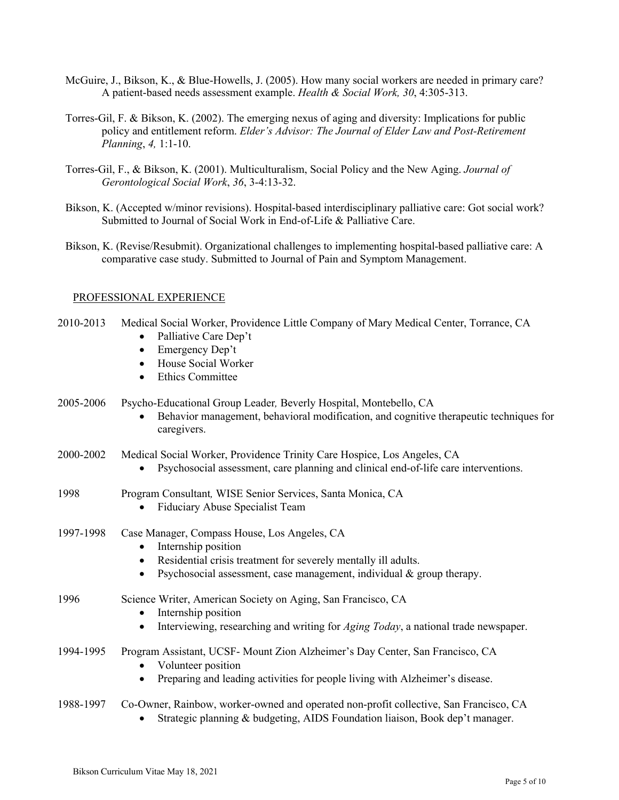- McGuire, J., Bikson, K., & Blue-Howells, J. (2005). How many social workers are needed in primary care? A patient-based needs assessment example. *Health & Social Work, 30*, 4:305-313.
- Torres-Gil, F. & Bikson, K. (2002). The emerging nexus of aging and diversity: Implications for public policy and entitlement reform. *Elder's Advisor: The Journal of Elder Law and Post-Retirement Planning*, *4,* 1:1-10.
- Torres-Gil, F., & Bikson, K. (2001). Multiculturalism, Social Policy and the New Aging. *Journal of Gerontological Social Work*, *36*, 3-4:13-32.
- Bikson, K. (Accepted w/minor revisions). Hospital-based interdisciplinary palliative care: Got social work? Submitted to Journal of Social Work in End-of-Life & Palliative Care.
- Bikson, K. (Revise/Resubmit). Organizational challenges to implementing hospital-based palliative care: A comparative case study. Submitted to Journal of Pain and Symptom Management.

#### PROFESSIONAL EXPERIENCE

- 2010-2013 Medical Social Worker, Providence Little Company of Mary Medical Center, Torrance, CA
	- Palliative Care Dep't
	- Emergency Dep't
	- House Social Worker
	- Ethics Committee

2005-2006 Psycho-Educational Group Leader*,* Beverly Hospital, Montebello, CA

• Behavior management, behavioral modification, and cognitive therapeutic techniques for caregivers.

#### 2000-2002 Medical Social Worker, Providence Trinity Care Hospice, Los Angeles, CA

- Psychosocial assessment, care planning and clinical end-of-life care interventions.
- 1998 Program Consultant*,* WISE Senior Services, Santa Monica, CA
	- Fiduciary Abuse Specialist Team
- 1997-1998 Case Manager, Compass House, Los Angeles, CA
	- Internship position
	- Residential crisis treatment for severely mentally ill adults.
	- Psychosocial assessment, case management, individual & group therapy.

# 1996 Science Writer, American Society on Aging, San Francisco, CA

- Internship position
- Interviewing, researching and writing for *Aging Today*, a national trade newspaper.
- 1994-1995 Program Assistant, UCSF- Mount Zion Alzheimer's Day Center, San Francisco, CA
	- Volunteer position
	- Preparing and leading activities for people living with Alzheimer's disease.

# 1988-1997 Co-Owner, Rainbow, worker-owned and operated non-profit collective, San Francisco, CA

• Strategic planning & budgeting, AIDS Foundation liaison, Book dep't manager.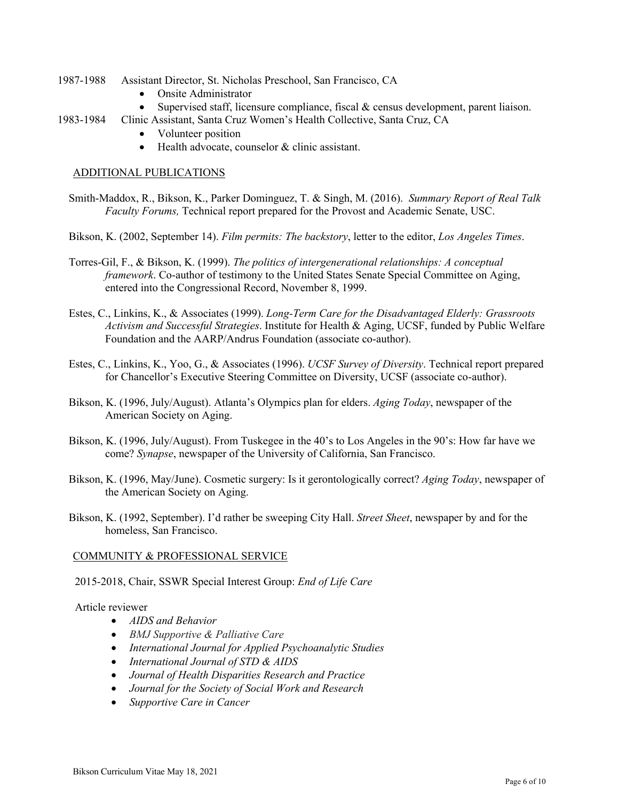- 1987-1988 Assistant Director, St. Nicholas Preschool, San Francisco, CA
	- Onsite Administrator
	- Supervised staff, licensure compliance, fiscal & census development, parent liaison.
- 1983-1984 Clinic Assistant, Santa Cruz Women's Health Collective, Santa Cruz, CA
	- Volunteer position
	- Health advocate, counselor & clinic assistant.

## ADDITIONAL PUBLICATIONS

- Smith-Maddox, R., Bikson, K., Parker Dominguez, T. & Singh, M. (2016). *Summary Report of Real Talk Faculty Forums,* Technical report prepared for the Provost and Academic Senate, USC.
- Bikson, K. (2002, September 14). *Film permits: The backstory*, letter to the editor, *Los Angeles Times*.
- Torres-Gil, F., & Bikson, K. (1999). *The politics of intergenerational relationships: A conceptual framework*. Co-author of testimony to the United States Senate Special Committee on Aging, entered into the Congressional Record, November 8, 1999.
- Estes, C., Linkins, K., & Associates (1999). *Long-Term Care for the Disadvantaged Elderly: Grassroots Activism and Successful Strategies*. Institute for Health & Aging, UCSF, funded by Public Welfare Foundation and the AARP/Andrus Foundation (associate co-author).
- Estes, C., Linkins, K., Yoo, G., & Associates (1996). *UCSF Survey of Diversity*. Technical report prepared for Chancellor's Executive Steering Committee on Diversity, UCSF (associate co-author).
- Bikson, K. (1996, July/August). Atlanta's Olympics plan for elders. *Aging Today*, newspaper of the American Society on Aging.
- Bikson, K. (1996, July/August). From Tuskegee in the 40's to Los Angeles in the 90's: How far have we come? *Synapse*, newspaper of the University of California, San Francisco.
- Bikson, K. (1996, May/June). Cosmetic surgery: Is it gerontologically correct? *Aging Today*, newspaper of the American Society on Aging.
- Bikson, K. (1992, September). I'd rather be sweeping City Hall. *Street Sheet*, newspaper by and for the homeless, San Francisco.

# COMMUNITY & PROFESSIONAL SERVICE

2015-2018, Chair, SSWR Special Interest Group: *End of Life Care*

Article reviewer

- *AIDS and Behavior*
- *BMJ Supportive & Palliative Care*
- *International Journal for Applied Psychoanalytic Studies*
- *International Journal of STD & AIDS*
- *Journal of Health Disparities Research and Practice*
- *Journal for the Society of Social Work and Research*
- *Supportive Care in Cancer*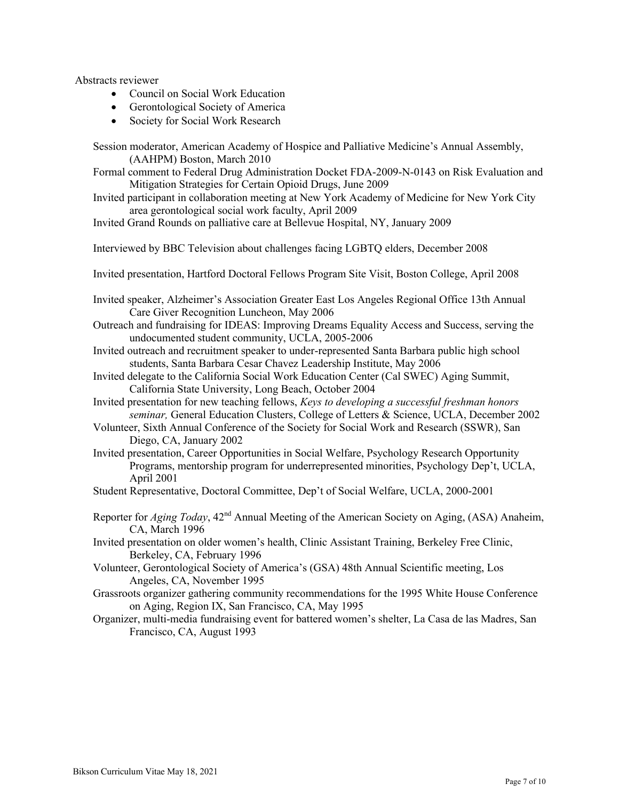Abstracts reviewer

- Council on Social Work Education
- Gerontological Society of America
- Society for Social Work Research

Session moderator, American Academy of Hospice and Palliative Medicine's Annual Assembly, (AAHPM) Boston, March 2010

Formal comment to Federal Drug Administration Docket FDA-2009-N-0143 on Risk Evaluation and Mitigation Strategies for Certain Opioid Drugs, June 2009

Invited participant in collaboration meeting at New York Academy of Medicine for New York City area gerontological social work faculty, April 2009

Invited Grand Rounds on palliative care at Bellevue Hospital, NY, January 2009

Interviewed by BBC Television about challenges facing LGBTQ elders, December 2008

- Invited presentation, Hartford Doctoral Fellows Program Site Visit, Boston College, April 2008
- Invited speaker, Alzheimer's Association Greater East Los Angeles Regional Office 13th Annual Care Giver Recognition Luncheon, May 2006
- Outreach and fundraising for IDEAS: Improving Dreams Equality Access and Success, serving the undocumented student community, UCLA, 2005-2006
- Invited outreach and recruitment speaker to under-represented Santa Barbara public high school students, Santa Barbara Cesar Chavez Leadership Institute, May 2006
- Invited delegate to the California Social Work Education Center (Cal SWEC) Aging Summit, California State University, Long Beach, October 2004
- Invited presentation for new teaching fellows, *Keys to developing a successful freshman honors seminar,* General Education Clusters, College of Letters & Science, UCLA, December 2002
- Volunteer, Sixth Annual Conference of the Society for Social Work and Research (SSWR), San Diego, CA, January 2002
- Invited presentation, Career Opportunities in Social Welfare, Psychology Research Opportunity Programs, mentorship program for underrepresented minorities, Psychology Dep't, UCLA, April 2001
- Student Representative, Doctoral Committee, Dep't of Social Welfare, UCLA, 2000-2001
- Reporter for *Aging Today*, 42nd Annual Meeting of the American Society on Aging, (ASA) Anaheim, CA, March 1996

Invited presentation on older women's health, Clinic Assistant Training, Berkeley Free Clinic, Berkeley, CA, February 1996

Volunteer, Gerontological Society of America's (GSA) 48th Annual Scientific meeting, Los Angeles, CA, November 1995

Grassroots organizer gathering community recommendations for the 1995 White House Conference on Aging, Region IX, San Francisco, CA, May 1995

Organizer, multi-media fundraising event for battered women's shelter, La Casa de las Madres, San Francisco, CA, August 1993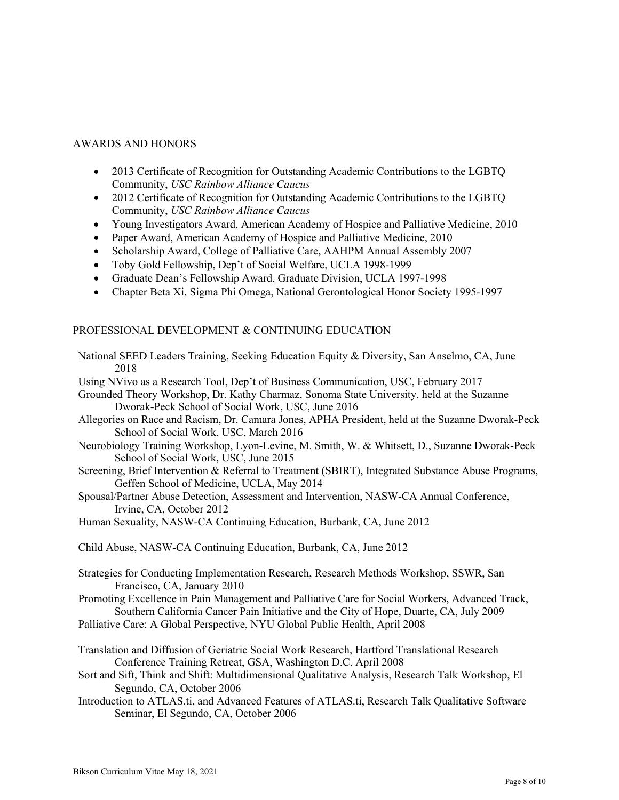# AWARDS AND HONORS

- 2013 Certificate of Recognition for Outstanding Academic Contributions to the LGBTQ Community, *USC Rainbow Alliance Caucus*
- 2012 Certificate of Recognition for Outstanding Academic Contributions to the LGBTQ Community, *USC Rainbow Alliance Caucus*
- Young Investigators Award, American Academy of Hospice and Palliative Medicine, 2010
- Paper Award, American Academy of Hospice and Palliative Medicine, 2010
- Scholarship Award, College of Palliative Care, AAHPM Annual Assembly 2007
- Toby Gold Fellowship, Dep't of Social Welfare, UCLA 1998-1999
- Graduate Dean's Fellowship Award, Graduate Division, UCLA 1997-1998
- Chapter Beta Xi, Sigma Phi Omega, National Gerontological Honor Society 1995-1997

# PROFESSIONAL DEVELOPMENT & CONTINUING EDUCATION

- National SEED Leaders Training, Seeking Education Equity & Diversity, San Anselmo, CA, June 2018 Using NVivo as a Research Tool, Dep't of Business Communication, USC, February 2017
- Grounded Theory Workshop, Dr. Kathy Charmaz, Sonoma State University, held at the Suzanne

Dworak-Peck School of Social Work, USC, June 2016

- Allegories on Race and Racism, Dr. Camara Jones, APHA President, held at the Suzanne Dworak-Peck School of Social Work, USC, March 2016
- Neurobiology Training Workshop, Lyon-Levine, M. Smith, W. & Whitsett, D., Suzanne Dworak-Peck School of Social Work, USC, June 2015
- Screening, Brief Intervention & Referral to Treatment (SBIRT), Integrated Substance Abuse Programs, Geffen School of Medicine, UCLA, May 2014
- Spousal/Partner Abuse Detection, Assessment and Intervention, NASW-CA Annual Conference, Irvine, CA, October 2012

Human Sexuality, NASW-CA Continuing Education, Burbank, CA, June 2012

Child Abuse, NASW-CA Continuing Education, Burbank, CA, June 2012

- Strategies for Conducting Implementation Research, Research Methods Workshop, SSWR, San Francisco, CA, January 2010
- Promoting Excellence in Pain Management and Palliative Care for Social Workers, Advanced Track, Southern California Cancer Pain Initiative and the City of Hope, Duarte, CA, July 2009
- Palliative Care: A Global Perspective, NYU Global Public Health, April 2008
- Translation and Diffusion of Geriatric Social Work Research, Hartford Translational Research Conference Training Retreat, GSA, Washington D.C. April 2008
- Sort and Sift, Think and Shift: Multidimensional Qualitative Analysis, Research Talk Workshop, El Segundo, CA, October 2006
- Introduction to ATLAS.ti, and Advanced Features of ATLAS.ti, Research Talk Qualitative Software Seminar, El Segundo, CA, October 2006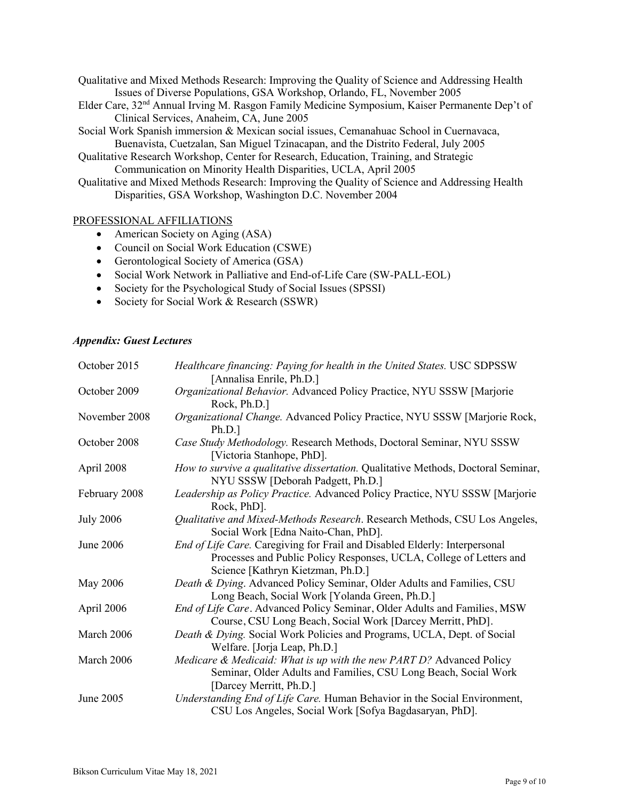Qualitative and Mixed Methods Research: Improving the Quality of Science and Addressing Health Issues of Diverse Populations, GSA Workshop, Orlando, FL, November 2005

- Elder Care, 32nd Annual Irving M. Rasgon Family Medicine Symposium, Kaiser Permanente Dep't of Clinical Services, Anaheim, CA, June 2005
- Social Work Spanish immersion & Mexican social issues, Cemanahuac School in Cuernavaca, Buenavista, Cuetzalan, San Miguel Tzinacapan, and the Distrito Federal, July 2005
- Qualitative Research Workshop, Center for Research, Education, Training, and Strategic Communication on Minority Health Disparities, UCLA, April 2005
- Qualitative and Mixed Methods Research: Improving the Quality of Science and Addressing Health Disparities, GSA Workshop, Washington D.C. November 2004

# PROFESSIONAL AFFILIATIONS

- American Society on Aging (ASA)
- Council on Social Work Education (CSWE)
- Gerontological Society of America (GSA)
- Social Work Network in Palliative and End-of-Life Care (SW-PALL-EOL)
- Society for the Psychological Study of Social Issues (SPSSI)
- Society for Social Work & Research (SSWR)

#### *Appendix: Guest Lectures*

| October 2015     | Healthcare financing: Paying for health in the United States. USC SDPSSW<br>[Annalisa Enrile, Ph.D.]                                                                                   |
|------------------|----------------------------------------------------------------------------------------------------------------------------------------------------------------------------------------|
| October 2009     | Organizational Behavior. Advanced Policy Practice, NYU SSSW [Marjorie<br>Rock, Ph.D.]                                                                                                  |
| November 2008    | Organizational Change. Advanced Policy Practice, NYU SSSW [Marjorie Rock,<br>Ph.D.]                                                                                                    |
| October 2008     | Case Study Methodology. Research Methods, Doctoral Seminar, NYU SSSW<br>[Victoria Stanhope, PhD].                                                                                      |
| April 2008       | How to survive a qualitative dissertation. Qualitative Methods, Doctoral Seminar,<br>NYU SSSW [Deborah Padgett, Ph.D.]                                                                 |
| February 2008    | Leadership as Policy Practice. Advanced Policy Practice, NYU SSSW [Marjorie<br>Rock, PhD].                                                                                             |
| <b>July 2006</b> | Qualitative and Mixed-Methods Research. Research Methods, CSU Los Angeles,<br>Social Work [Edna Naito-Chan, PhD].                                                                      |
| June 2006        | End of Life Care. Caregiving for Frail and Disabled Elderly: Interpersonal<br>Processes and Public Policy Responses, UCLA, College of Letters and<br>Science [Kathryn Kietzman, Ph.D.] |
| May 2006         | Death & Dying. Advanced Policy Seminar, Older Adults and Families, CSU<br>Long Beach, Social Work [Yolanda Green, Ph.D.]                                                               |
| April 2006       | End of Life Care. Advanced Policy Seminar, Older Adults and Families, MSW<br>Course, CSU Long Beach, Social Work [Darcey Merritt, PhD].                                                |
| March 2006       | Death & Dying. Social Work Policies and Programs, UCLA, Dept. of Social<br>Welfare. [Jorja Leap, Ph.D.]                                                                                |
| March 2006       | Medicare & Medicaid: What is up with the new PART D? Advanced Policy<br>Seminar, Older Adults and Families, CSU Long Beach, Social Work<br>[Darcey Merritt, Ph.D.]                     |
| June 2005        | Understanding End of Life Care. Human Behavior in the Social Environment,<br>CSU Los Angeles, Social Work [Sofya Bagdasaryan, PhD].                                                    |